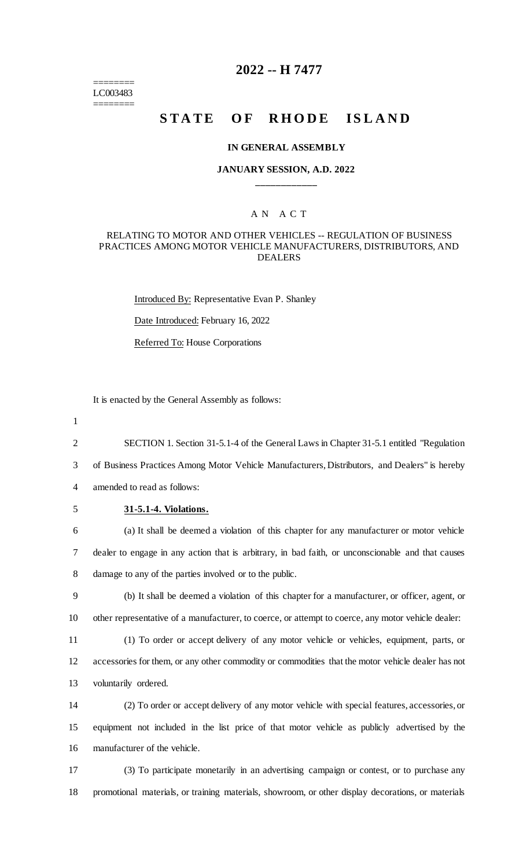======== LC003483 ========

# **2022 -- H 7477**

# **STATE OF RHODE ISLAND**

#### **IN GENERAL ASSEMBLY**

## **JANUARY SESSION, A.D. 2022 \_\_\_\_\_\_\_\_\_\_\_\_**

## A N A C T

#### RELATING TO MOTOR AND OTHER VEHICLES -- REGULATION OF BUSINESS PRACTICES AMONG MOTOR VEHICLE MANUFACTURERS, DISTRIBUTORS, AND DEALERS

Introduced By: Representative Evan P. Shanley

Date Introduced: February 16, 2022

Referred To: House Corporations

It is enacted by the General Assembly as follows:

1

2 SECTION 1. Section 31-5.1-4 of the General Laws in Chapter 31-5.1 entitled "Regulation

3 of Business Practices Among Motor Vehicle Manufacturers, Distributors, and Dealers" is hereby

4 amended to read as follows:

## 5 **31-5.1-4. Violations.**

6 (a) It shall be deemed a violation of this chapter for any manufacturer or motor vehicle 7 dealer to engage in any action that is arbitrary, in bad faith, or unconscionable and that causes 8 damage to any of the parties involved or to the public.

9 (b) It shall be deemed a violation of this chapter for a manufacturer, or officer, agent, or 10 other representative of a manufacturer, to coerce, or attempt to coerce, any motor vehicle dealer:

11 (1) To order or accept delivery of any motor vehicle or vehicles, equipment, parts, or 12 accessories for them, or any other commodity or commodities that the motor vehicle dealer has not 13 voluntarily ordered.

14 (2) To order or accept delivery of any motor vehicle with special features, accessories, or 15 equipment not included in the list price of that motor vehicle as publicly advertised by the 16 manufacturer of the vehicle.

17 (3) To participate monetarily in an advertising campaign or contest, or to purchase any 18 promotional materials, or training materials, showroom, or other display decorations, or materials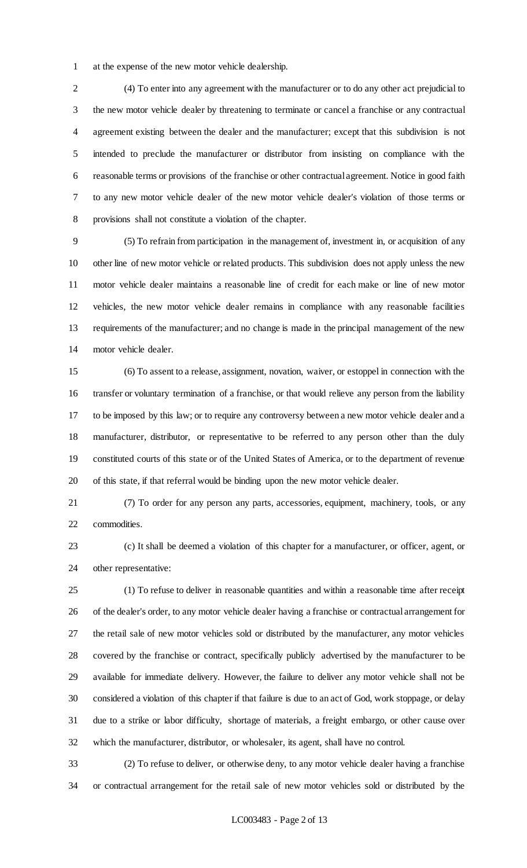at the expense of the new motor vehicle dealership.

 (4) To enter into any agreement with the manufacturer or to do any other act prejudicial to the new motor vehicle dealer by threatening to terminate or cancel a franchise or any contractual agreement existing between the dealer and the manufacturer; except that this subdivision is not intended to preclude the manufacturer or distributor from insisting on compliance with the reasonable terms or provisions of the franchise or other contractual agreement. Notice in good faith to any new motor vehicle dealer of the new motor vehicle dealer's violation of those terms or provisions shall not constitute a violation of the chapter.

 (5) To refrain from participation in the management of, investment in, or acquisition of any other line of new motor vehicle or related products. This subdivision does not apply unless the new motor vehicle dealer maintains a reasonable line of credit for each make or line of new motor vehicles, the new motor vehicle dealer remains in compliance with any reasonable facilities requirements of the manufacturer; and no change is made in the principal management of the new motor vehicle dealer.

 (6) To assent to a release, assignment, novation, waiver, or estoppel in connection with the transfer or voluntary termination of a franchise, or that would relieve any person from the liability to be imposed by this law; or to require any controversy between a new motor vehicle dealer and a manufacturer, distributor, or representative to be referred to any person other than the duly constituted courts of this state or of the United States of America, or to the department of revenue of this state, if that referral would be binding upon the new motor vehicle dealer.

 (7) To order for any person any parts, accessories, equipment, machinery, tools, or any commodities.

 (c) It shall be deemed a violation of this chapter for a manufacturer, or officer, agent, or other representative:

 (1) To refuse to deliver in reasonable quantities and within a reasonable time after receipt of the dealer's order, to any motor vehicle dealer having a franchise or contractual arrangement for the retail sale of new motor vehicles sold or distributed by the manufacturer, any motor vehicles covered by the franchise or contract, specifically publicly advertised by the manufacturer to be available for immediate delivery. However, the failure to deliver any motor vehicle shall not be considered a violation of this chapter if that failure is due to an act of God, work stoppage, or delay due to a strike or labor difficulty, shortage of materials, a freight embargo, or other cause over which the manufacturer, distributor, or wholesaler, its agent, shall have no control.

 (2) To refuse to deliver, or otherwise deny, to any motor vehicle dealer having a franchise or contractual arrangement for the retail sale of new motor vehicles sold or distributed by the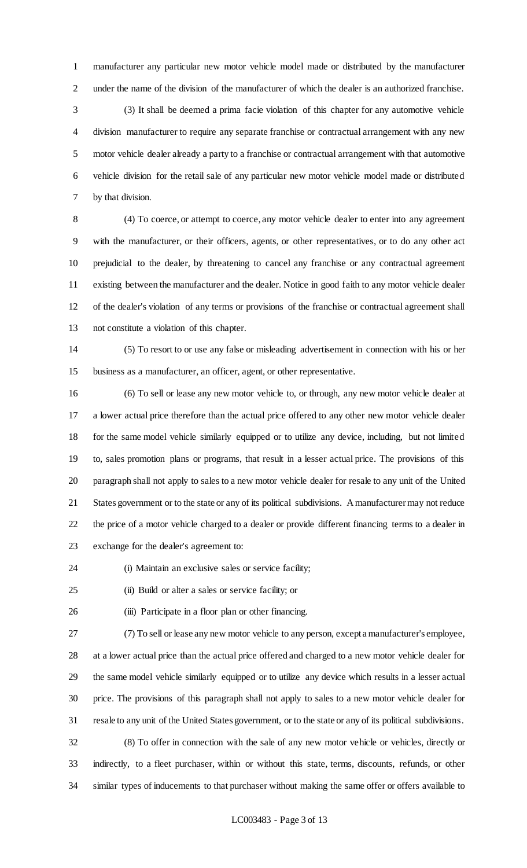manufacturer any particular new motor vehicle model made or distributed by the manufacturer under the name of the division of the manufacturer of which the dealer is an authorized franchise.

 (3) It shall be deemed a prima facie violation of this chapter for any automotive vehicle division manufacturer to require any separate franchise or contractual arrangement with any new motor vehicle dealer already a party to a franchise or contractual arrangement with that automotive vehicle division for the retail sale of any particular new motor vehicle model made or distributed by that division.

 (4) To coerce, or attempt to coerce, any motor vehicle dealer to enter into any agreement with the manufacturer, or their officers, agents, or other representatives, or to do any other act prejudicial to the dealer, by threatening to cancel any franchise or any contractual agreement existing between the manufacturer and the dealer. Notice in good faith to any motor vehicle dealer of the dealer's violation of any terms or provisions of the franchise or contractual agreement shall not constitute a violation of this chapter.

 (5) To resort to or use any false or misleading advertisement in connection with his or her business as a manufacturer, an officer, agent, or other representative.

 (6) To sell or lease any new motor vehicle to, or through, any new motor vehicle dealer at a lower actual price therefore than the actual price offered to any other new motor vehicle dealer for the same model vehicle similarly equipped or to utilize any device, including, but not limited to, sales promotion plans or programs, that result in a lesser actual price. The provisions of this paragraph shall not apply to sales to a new motor vehicle dealer for resale to any unit of the United States government or to the state or any of its political subdivisions. A manufacturer may not reduce the price of a motor vehicle charged to a dealer or provide different financing terms to a dealer in exchange for the dealer's agreement to:

(i) Maintain an exclusive sales or service facility;

(ii) Build or alter a sales or service facility; or

(iii) Participate in a floor plan or other financing.

 (7) To sell or lease any new motor vehicle to any person, except a manufacturer's employee, at a lower actual price than the actual price offered and charged to a new motor vehicle dealer for the same model vehicle similarly equipped or to utilize any device which results in a lesser actual price. The provisions of this paragraph shall not apply to sales to a new motor vehicle dealer for resale to any unit of the United States government, or to the state or any of its political subdivisions. (8) To offer in connection with the sale of any new motor vehicle or vehicles, directly or indirectly, to a fleet purchaser, within or without this state, terms, discounts, refunds, or other

similar types of inducements to that purchaser without making the same offer or offers available to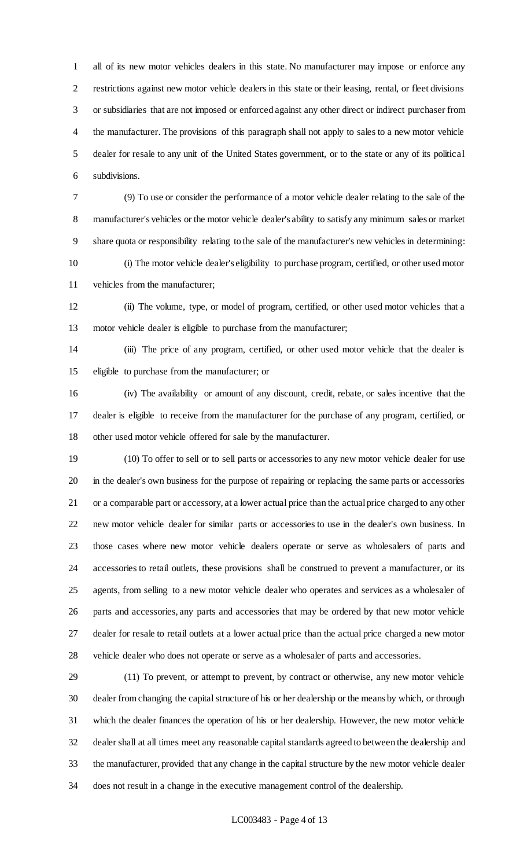all of its new motor vehicles dealers in this state. No manufacturer may impose or enforce any restrictions against new motor vehicle dealers in this state or their leasing, rental, or fleet divisions or subsidiaries that are not imposed or enforced against any other direct or indirect purchaser from the manufacturer. The provisions of this paragraph shall not apply to sales to a new motor vehicle dealer for resale to any unit of the United States government, or to the state or any of its political subdivisions.

 (9) To use or consider the performance of a motor vehicle dealer relating to the sale of the manufacturer's vehicles or the motor vehicle dealer's ability to satisfy any minimum sales or market share quota or responsibility relating to the sale of the manufacturer's new vehicles in determining:

 (i) The motor vehicle dealer's eligibility to purchase program, certified, or other used motor vehicles from the manufacturer;

 (ii) The volume, type, or model of program, certified, or other used motor vehicles that a motor vehicle dealer is eligible to purchase from the manufacturer;

 (iii) The price of any program, certified, or other used motor vehicle that the dealer is eligible to purchase from the manufacturer; or

 (iv) The availability or amount of any discount, credit, rebate, or sales incentive that the dealer is eligible to receive from the manufacturer for the purchase of any program, certified, or other used motor vehicle offered for sale by the manufacturer.

 (10) To offer to sell or to sell parts or accessories to any new motor vehicle dealer for use in the dealer's own business for the purpose of repairing or replacing the same parts or accessories or a comparable part or accessory, at a lower actual price than the actual price charged to any other new motor vehicle dealer for similar parts or accessories to use in the dealer's own business. In those cases where new motor vehicle dealers operate or serve as wholesalers of parts and accessories to retail outlets, these provisions shall be construed to prevent a manufacturer, or its agents, from selling to a new motor vehicle dealer who operates and services as a wholesaler of parts and accessories, any parts and accessories that may be ordered by that new motor vehicle dealer for resale to retail outlets at a lower actual price than the actual price charged a new motor vehicle dealer who does not operate or serve as a wholesaler of parts and accessories.

 (11) To prevent, or attempt to prevent, by contract or otherwise, any new motor vehicle dealer from changing the capital structure of his or her dealership or the means by which, or through which the dealer finances the operation of his or her dealership. However, the new motor vehicle dealer shall at all times meet any reasonable capital standards agreed to between the dealership and the manufacturer, provided that any change in the capital structure by the new motor vehicle dealer does not result in a change in the executive management control of the dealership.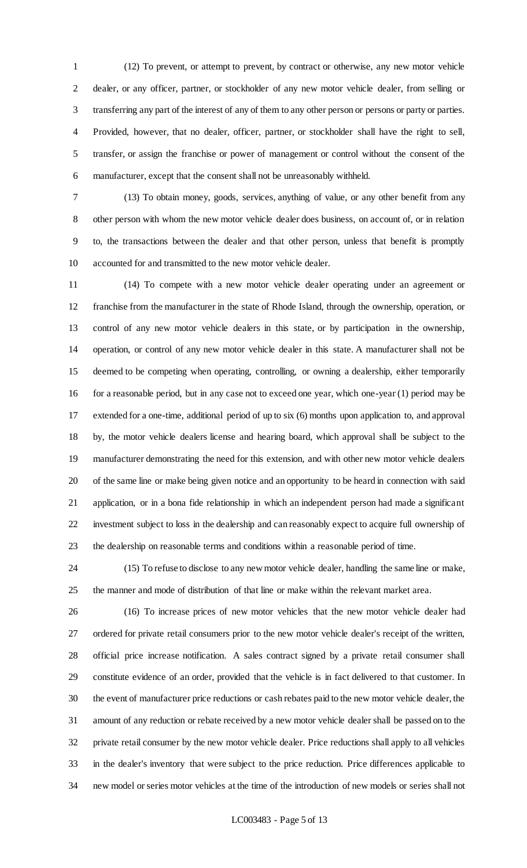(12) To prevent, or attempt to prevent, by contract or otherwise, any new motor vehicle dealer, or any officer, partner, or stockholder of any new motor vehicle dealer, from selling or transferring any part of the interest of any of them to any other person or persons or party or parties. Provided, however, that no dealer, officer, partner, or stockholder shall have the right to sell, transfer, or assign the franchise or power of management or control without the consent of the manufacturer, except that the consent shall not be unreasonably withheld.

 (13) To obtain money, goods, services, anything of value, or any other benefit from any other person with whom the new motor vehicle dealer does business, on account of, or in relation to, the transactions between the dealer and that other person, unless that benefit is promptly accounted for and transmitted to the new motor vehicle dealer.

 (14) To compete with a new motor vehicle dealer operating under an agreement or franchise from the manufacturer in the state of Rhode Island, through the ownership, operation, or control of any new motor vehicle dealers in this state, or by participation in the ownership, operation, or control of any new motor vehicle dealer in this state. A manufacturer shall not be deemed to be competing when operating, controlling, or owning a dealership, either temporarily for a reasonable period, but in any case not to exceed one year, which one-year (1) period may be extended for a one-time, additional period of up to six (6) months upon application to, and approval by, the motor vehicle dealers license and hearing board, which approval shall be subject to the manufacturer demonstrating the need for this extension, and with other new motor vehicle dealers of the same line or make being given notice and an opportunity to be heard in connection with said application, or in a bona fide relationship in which an independent person had made a significant investment subject to loss in the dealership and can reasonably expect to acquire full ownership of the dealership on reasonable terms and conditions within a reasonable period of time.

 (15) To refuse to disclose to any new motor vehicle dealer, handling the same line or make, the manner and mode of distribution of that line or make within the relevant market area.

 (16) To increase prices of new motor vehicles that the new motor vehicle dealer had ordered for private retail consumers prior to the new motor vehicle dealer's receipt of the written, official price increase notification. A sales contract signed by a private retail consumer shall constitute evidence of an order, provided that the vehicle is in fact delivered to that customer. In the event of manufacturer price reductions or cash rebates paid to the new motor vehicle dealer, the amount of any reduction or rebate received by a new motor vehicle dealer shall be passed on to the private retail consumer by the new motor vehicle dealer. Price reductions shall apply to all vehicles in the dealer's inventory that were subject to the price reduction. Price differences applicable to new model or series motor vehicles at the time of the introduction of new models or series shall not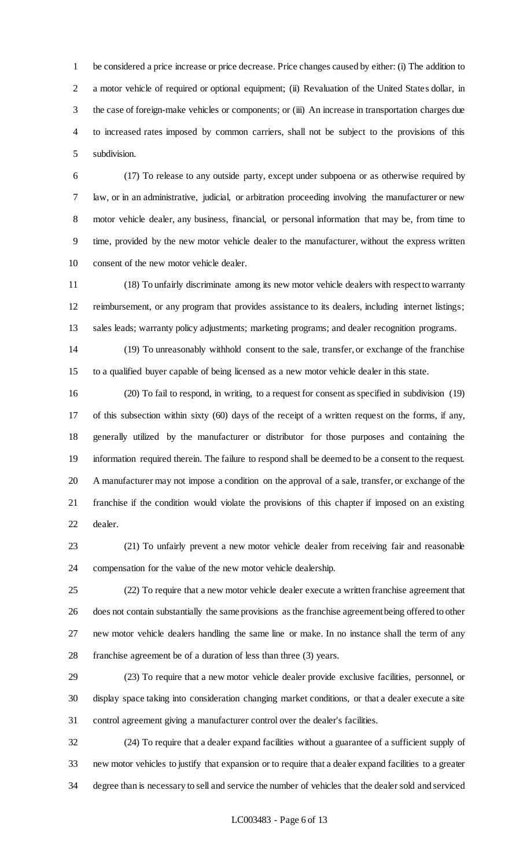be considered a price increase or price decrease. Price changes caused by either: (i) The addition to 2 a motor vehicle of required or optional equipment; (ii) Revaluation of the United States dollar, in the case of foreign-make vehicles or components; or (iii) An increase in transportation charges due to increased rates imposed by common carriers, shall not be subject to the provisions of this subdivision.

 (17) To release to any outside party, except under subpoena or as otherwise required by law, or in an administrative, judicial, or arbitration proceeding involving the manufacturer or new motor vehicle dealer, any business, financial, or personal information that may be, from time to time, provided by the new motor vehicle dealer to the manufacturer, without the express written consent of the new motor vehicle dealer.

 (18) To unfairly discriminate among its new motor vehicle dealers with respect to warranty reimbursement, or any program that provides assistance to its dealers, including internet listings; sales leads; warranty policy adjustments; marketing programs; and dealer recognition programs.

 (19) To unreasonably withhold consent to the sale, transfer, or exchange of the franchise to a qualified buyer capable of being licensed as a new motor vehicle dealer in this state.

 (20) To fail to respond, in writing, to a request for consent as specified in subdivision (19) of this subsection within sixty (60) days of the receipt of a written request on the forms, if any, generally utilized by the manufacturer or distributor for those purposes and containing the information required therein. The failure to respond shall be deemed to be a consent to the request. A manufacturer may not impose a condition on the approval of a sale, transfer, or exchange of the franchise if the condition would violate the provisions of this chapter if imposed on an existing dealer.

 (21) To unfairly prevent a new motor vehicle dealer from receiving fair and reasonable compensation for the value of the new motor vehicle dealership.

 (22) To require that a new motor vehicle dealer execute a written franchise agreement that does not contain substantially the same provisions as the franchise agreement being offered to other new motor vehicle dealers handling the same line or make. In no instance shall the term of any franchise agreement be of a duration of less than three (3) years.

 (23) To require that a new motor vehicle dealer provide exclusive facilities, personnel, or display space taking into consideration changing market conditions, or that a dealer execute a site control agreement giving a manufacturer control over the dealer's facilities.

 (24) To require that a dealer expand facilities without a guarantee of a sufficient supply of new motor vehicles to justify that expansion or to require that a dealer expand facilities to a greater degree than is necessary to sell and service the number of vehicles that the dealer sold and serviced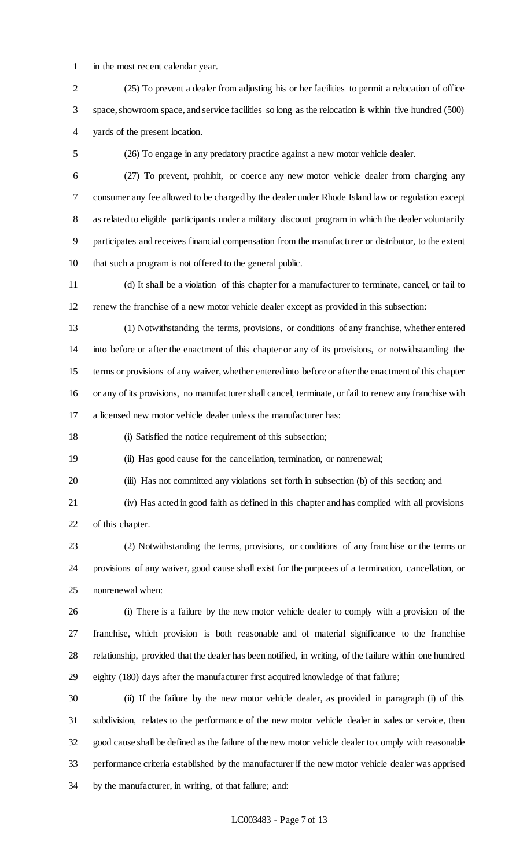in the most recent calendar year.

 (25) To prevent a dealer from adjusting his or her facilities to permit a relocation of office space, showroom space, and service facilities so long as the relocation is within five hundred (500) yards of the present location.

(26) To engage in any predatory practice against a new motor vehicle dealer.

 (27) To prevent, prohibit, or coerce any new motor vehicle dealer from charging any consumer any fee allowed to be charged by the dealer under Rhode Island law or regulation except as related to eligible participants under a military discount program in which the dealer voluntarily participates and receives financial compensation from the manufacturer or distributor, to the extent that such a program is not offered to the general public.

 (d) It shall be a violation of this chapter for a manufacturer to terminate, cancel, or fail to renew the franchise of a new motor vehicle dealer except as provided in this subsection:

 (1) Notwithstanding the terms, provisions, or conditions of any franchise, whether entered into before or after the enactment of this chapter or any of its provisions, or notwithstanding the terms or provisions of any waiver, whether entered into before or after the enactment of this chapter or any of its provisions, no manufacturer shall cancel, terminate, or fail to renew any franchise with a licensed new motor vehicle dealer unless the manufacturer has:

(i) Satisfied the notice requirement of this subsection;

(ii) Has good cause for the cancellation, termination, or nonrenewal;

(iii) Has not committed any violations set forth in subsection (b) of this section; and

 (iv) Has acted in good faith as defined in this chapter and has complied with all provisions of this chapter.

 (2) Notwithstanding the terms, provisions, or conditions of any franchise or the terms or provisions of any waiver, good cause shall exist for the purposes of a termination, cancellation, or nonrenewal when:

 (i) There is a failure by the new motor vehicle dealer to comply with a provision of the franchise, which provision is both reasonable and of material significance to the franchise relationship, provided that the dealer has been notified, in writing, of the failure within one hundred eighty (180) days after the manufacturer first acquired knowledge of that failure;

 (ii) If the failure by the new motor vehicle dealer, as provided in paragraph (i) of this subdivision, relates to the performance of the new motor vehicle dealer in sales or service, then good cause shall be defined as the failure of the new motor vehicle dealer to comply with reasonable performance criteria established by the manufacturer if the new motor vehicle dealer was apprised by the manufacturer, in writing, of that failure; and: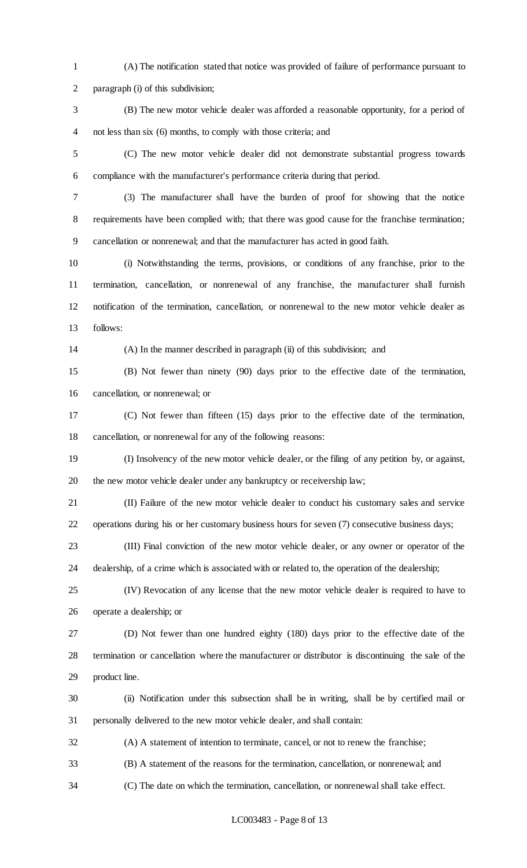(A) The notification stated that notice was provided of failure of performance pursuant to paragraph (i) of this subdivision;

 (B) The new motor vehicle dealer was afforded a reasonable opportunity, for a period of not less than six (6) months, to comply with those criteria; and

 (C) The new motor vehicle dealer did not demonstrate substantial progress towards compliance with the manufacturer's performance criteria during that period.

 (3) The manufacturer shall have the burden of proof for showing that the notice requirements have been complied with; that there was good cause for the franchise termination; cancellation or nonrenewal; and that the manufacturer has acted in good faith.

 (i) Notwithstanding the terms, provisions, or conditions of any franchise, prior to the termination, cancellation, or nonrenewal of any franchise, the manufacturer shall furnish notification of the termination, cancellation, or nonrenewal to the new motor vehicle dealer as follows:

(A) In the manner described in paragraph (ii) of this subdivision; and

 (B) Not fewer than ninety (90) days prior to the effective date of the termination, cancellation, or nonrenewal; or

 (C) Not fewer than fifteen (15) days prior to the effective date of the termination, cancellation, or nonrenewal for any of the following reasons:

 (I) Insolvency of the new motor vehicle dealer, or the filing of any petition by, or against, the new motor vehicle dealer under any bankruptcy or receivership law;

 (II) Failure of the new motor vehicle dealer to conduct his customary sales and service operations during his or her customary business hours for seven (7) consecutive business days;

 (III) Final conviction of the new motor vehicle dealer, or any owner or operator of the dealership, of a crime which is associated with or related to, the operation of the dealership;

 (IV) Revocation of any license that the new motor vehicle dealer is required to have to operate a dealership; or

 (D) Not fewer than one hundred eighty (180) days prior to the effective date of the termination or cancellation where the manufacturer or distributor is discontinuing the sale of the product line.

 (ii) Notification under this subsection shall be in writing, shall be by certified mail or personally delivered to the new motor vehicle dealer, and shall contain:

(A) A statement of intention to terminate, cancel, or not to renew the franchise;

(B) A statement of the reasons for the termination, cancellation, or nonrenewal; and

(C) The date on which the termination, cancellation, or nonrenewal shall take effect.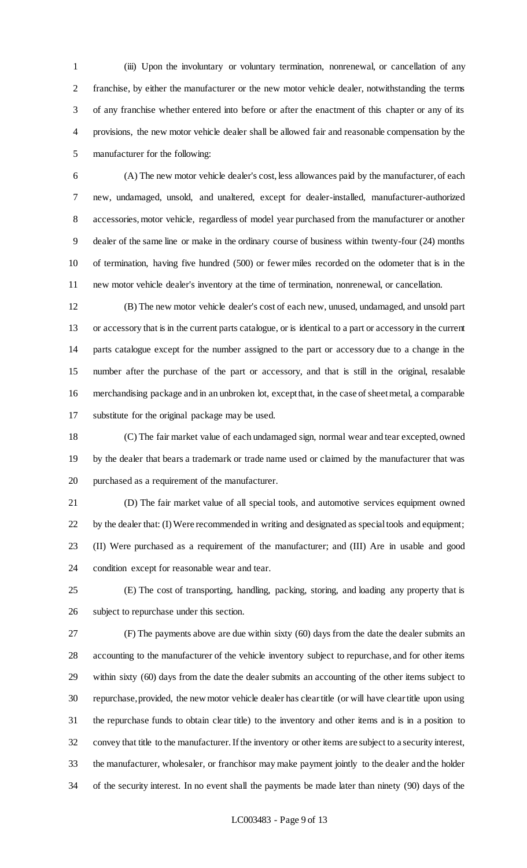(iii) Upon the involuntary or voluntary termination, nonrenewal, or cancellation of any franchise, by either the manufacturer or the new motor vehicle dealer, notwithstanding the terms of any franchise whether entered into before or after the enactment of this chapter or any of its provisions, the new motor vehicle dealer shall be allowed fair and reasonable compensation by the manufacturer for the following:

 (A) The new motor vehicle dealer's cost, less allowances paid by the manufacturer, of each new, undamaged, unsold, and unaltered, except for dealer-installed, manufacturer-authorized accessories, motor vehicle, regardless of model year purchased from the manufacturer or another dealer of the same line or make in the ordinary course of business within twenty-four (24) months of termination, having five hundred (500) or fewer miles recorded on the odometer that is in the new motor vehicle dealer's inventory at the time of termination, nonrenewal, or cancellation.

 (B) The new motor vehicle dealer's cost of each new, unused, undamaged, and unsold part or accessory that is in the current parts catalogue, or is identical to a part or accessory in the current parts catalogue except for the number assigned to the part or accessory due to a change in the number after the purchase of the part or accessory, and that is still in the original, resalable merchandising package and in an unbroken lot, except that, in the case of sheet metal, a comparable substitute for the original package may be used.

 (C) The fair market value of each undamaged sign, normal wear and tear excepted, owned by the dealer that bears a trademark or trade name used or claimed by the manufacturer that was purchased as a requirement of the manufacturer.

 (D) The fair market value of all special tools, and automotive services equipment owned by the dealer that: (I) Were recommended in writing and designated as special tools and equipment; (II) Were purchased as a requirement of the manufacturer; and (III) Are in usable and good condition except for reasonable wear and tear.

 (E) The cost of transporting, handling, packing, storing, and loading any property that is subject to repurchase under this section.

 (F) The payments above are due within sixty (60) days from the date the dealer submits an accounting to the manufacturer of the vehicle inventory subject to repurchase, and for other items within sixty (60) days from the date the dealer submits an accounting of the other items subject to repurchase, provided, the new motor vehicle dealer has clear title (or will have clear title upon using the repurchase funds to obtain clear title) to the inventory and other items and is in a position to convey that title to the manufacturer. If the inventory or other items are subject to a security interest, the manufacturer, wholesaler, or franchisor may make payment jointly to the dealer and the holder of the security interest. In no event shall the payments be made later than ninety (90) days of the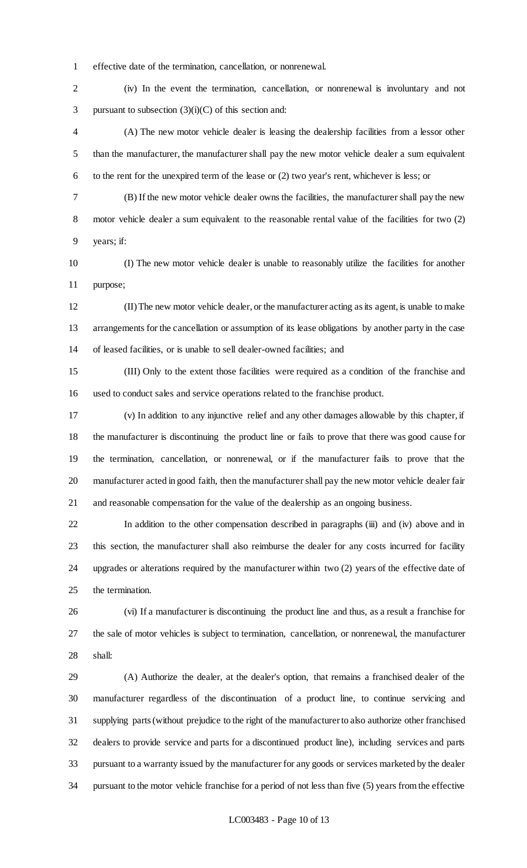effective date of the termination, cancellation, or nonrenewal.

 (iv) In the event the termination, cancellation, or nonrenewal is involuntary and not 3 pursuant to subsection  $(3)(i)(C)$  of this section and:

 (A) The new motor vehicle dealer is leasing the dealership facilities from a lessor other than the manufacturer, the manufacturer shall pay the new motor vehicle dealer a sum equivalent to the rent for the unexpired term of the lease or (2) two year's rent, whichever is less; or

- (B) If the new motor vehicle dealer owns the facilities, the manufacturer shall pay the new motor vehicle dealer a sum equivalent to the reasonable rental value of the facilities for two (2) years; if:
- (I) The new motor vehicle dealer is unable to reasonably utilize the facilities for another purpose;

 (II) The new motor vehicle dealer, or the manufacturer acting as its agent, is unable to make arrangements for the cancellation or assumption of its lease obligations by another party in the case of leased facilities, or is unable to sell dealer-owned facilities; and

 (III) Only to the extent those facilities were required as a condition of the franchise and used to conduct sales and service operations related to the franchise product.

 (v) In addition to any injunctive relief and any other damages allowable by this chapter, if the manufacturer is discontinuing the product line or fails to prove that there was good cause for the termination, cancellation, or nonrenewal, or if the manufacturer fails to prove that the manufacturer acted in good faith, then the manufacturer shall pay the new motor vehicle dealer fair and reasonable compensation for the value of the dealership as an ongoing business.

 In addition to the other compensation described in paragraphs (iii) and (iv) above and in this section, the manufacturer shall also reimburse the dealer for any costs incurred for facility upgrades or alterations required by the manufacturer within two (2) years of the effective date of the termination.

 (vi) If a manufacturer is discontinuing the product line and thus, as a result a franchise for the sale of motor vehicles is subject to termination, cancellation, or nonrenewal, the manufacturer shall:

 (A) Authorize the dealer, at the dealer's option, that remains a franchised dealer of the manufacturer regardless of the discontinuation of a product line, to continue servicing and supplying parts (without prejudice to the right of the manufacturer to also authorize other franchised dealers to provide service and parts for a discontinued product line), including services and parts pursuant to a warranty issued by the manufacturer for any goods or services marketed by the dealer pursuant to the motor vehicle franchise for a period of not less than five (5) years from the effective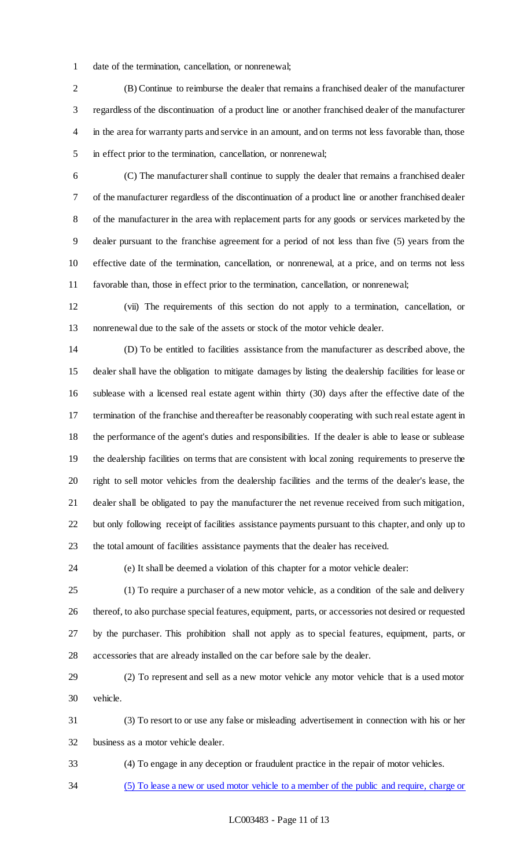date of the termination, cancellation, or nonrenewal;

 (B) Continue to reimburse the dealer that remains a franchised dealer of the manufacturer regardless of the discontinuation of a product line or another franchised dealer of the manufacturer in the area for warranty parts and service in an amount, and on terms not less favorable than, those in effect prior to the termination, cancellation, or nonrenewal;

 (C) The manufacturer shall continue to supply the dealer that remains a franchised dealer of the manufacturer regardless of the discontinuation of a product line or another franchised dealer of the manufacturer in the area with replacement parts for any goods or services marketed by the dealer pursuant to the franchise agreement for a period of not less than five (5) years from the effective date of the termination, cancellation, or nonrenewal, at a price, and on terms not less favorable than, those in effect prior to the termination, cancellation, or nonrenewal;

 (vii) The requirements of this section do not apply to a termination, cancellation, or nonrenewal due to the sale of the assets or stock of the motor vehicle dealer.

 (D) To be entitled to facilities assistance from the manufacturer as described above, the dealer shall have the obligation to mitigate damages by listing the dealership facilities for lease or sublease with a licensed real estate agent within thirty (30) days after the effective date of the termination of the franchise and thereafter be reasonably cooperating with such real estate agent in the performance of the agent's duties and responsibilities. If the dealer is able to lease or sublease the dealership facilities on terms that are consistent with local zoning requirements to preserve the right to sell motor vehicles from the dealership facilities and the terms of the dealer's lease, the dealer shall be obligated to pay the manufacturer the net revenue received from such mitigation, but only following receipt of facilities assistance payments pursuant to this chapter, and only up to the total amount of facilities assistance payments that the dealer has received.

(e) It shall be deemed a violation of this chapter for a motor vehicle dealer:

 (1) To require a purchaser of a new motor vehicle, as a condition of the sale and delivery thereof, to also purchase special features, equipment, parts, or accessories not desired or requested by the purchaser. This prohibition shall not apply as to special features, equipment, parts, or accessories that are already installed on the car before sale by the dealer.

 (2) To represent and sell as a new motor vehicle any motor vehicle that is a used motor vehicle.

 (3) To resort to or use any false or misleading advertisement in connection with his or her business as a motor vehicle dealer.

(4) To engage in any deception or fraudulent practice in the repair of motor vehicles.

(5) To lease a new or used motor vehicle to a member of the public and require, charge or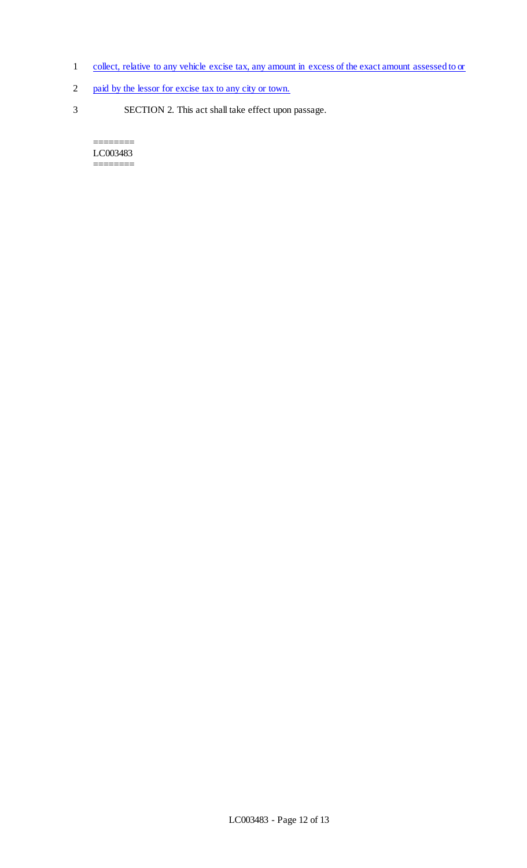- 1 collect, relative to any vehicle excise tax, any amount in excess of the exact amount assessed to or
- 2 paid by the lessor for excise tax to any city or town.
- 3 SECTION 2. This act shall take effect upon passage.

======== LC003483  $=$